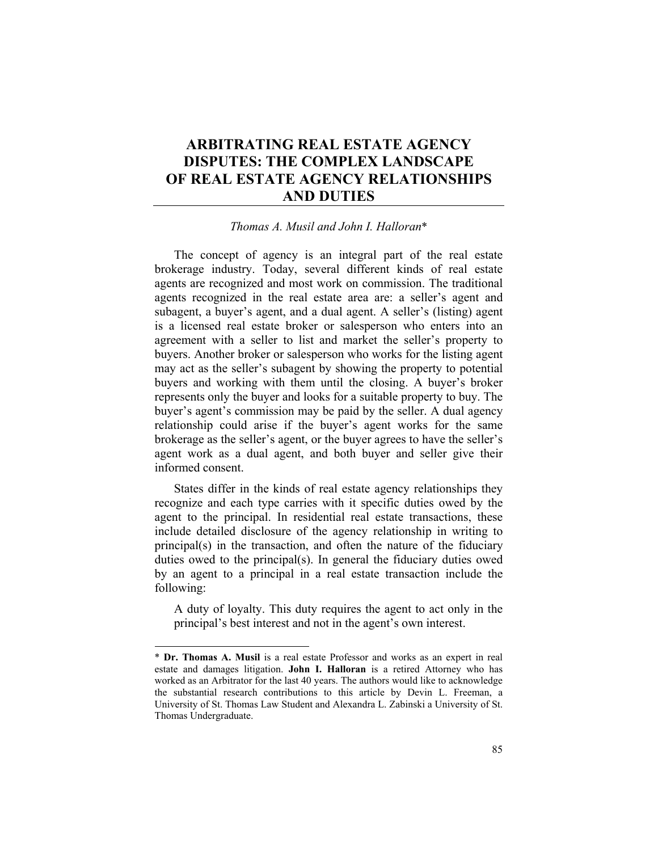# **ARBITRATING REAL ESTATE AGENCY DISPUTES: THE COMPLEX LANDSCAPE OF REAL ESTATE AGENCY RELATIONSHIPS AND DUTIES**

# *Thomas A. Musil and John I. Halloran*\*

The concept of agency is an integral part of the real estate brokerage industry. Today, several different kinds of real estate agents are recognized and most work on commission. The traditional agents recognized in the real estate area are: a seller's agent and subagent, a buyer's agent, and a dual agent. A seller's (listing) agent is a licensed real estate broker or salesperson who enters into an agreement with a seller to list and market the seller's property to buyers. Another broker or salesperson who works for the listing agent may act as the seller's subagent by showing the property to potential buyers and working with them until the closing. A buyer's broker represents only the buyer and looks for a suitable property to buy. The buyer's agent's commission may be paid by the seller. A dual agency relationship could arise if the buyer's agent works for the same brokerage as the seller's agent, or the buyer agrees to have the seller's agent work as a dual agent, and both buyer and seller give their informed consent.

States differ in the kinds of real estate agency relationships they recognize and each type carries with it specific duties owed by the agent to the principal. In residential real estate transactions, these include detailed disclosure of the agency relationship in writing to principal(s) in the transaction, and often the nature of the fiduciary duties owed to the principal(s). In general the fiduciary duties owed by an agent to a principal in a real estate transaction include the following:

A duty of loyalty. This duty requires the agent to act only in the principal's best interest and not in the agent's own interest.

<sup>\*</sup> **Dr. Thomas A. Musil** is a real estate Professor and works as an expert in real estate and damages litigation. **John I. Halloran** is a retired Attorney who has worked as an Arbitrator for the last 40 years. The authors would like to acknowledge the substantial research contributions to this article by Devin L. Freeman, a University of St. Thomas Law Student and Alexandra L. Zabinski a University of St. Thomas Undergraduate.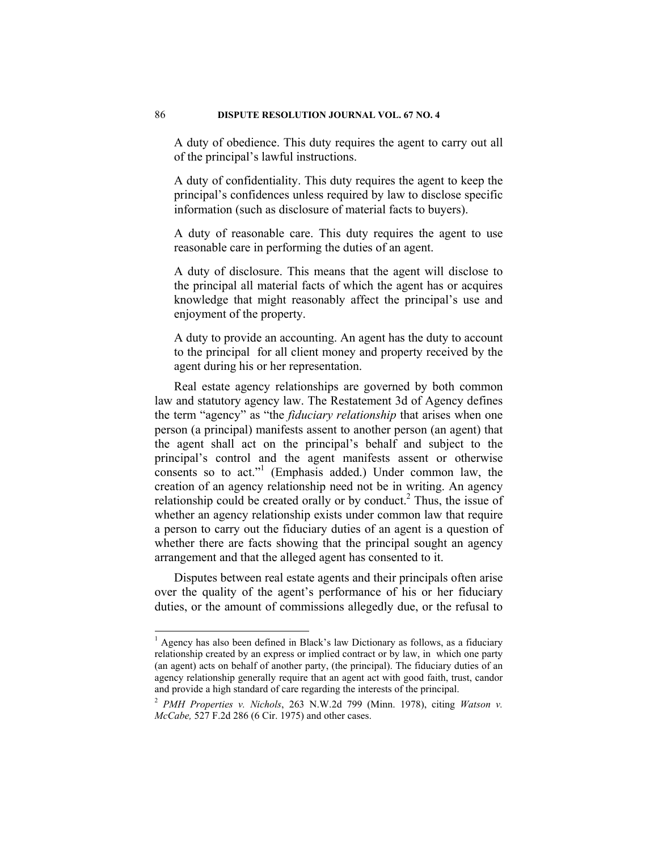A duty of obedience. This duty requires the agent to carry out all of the principal's lawful instructions.

A duty of confidentiality. This duty requires the agent to keep the principal's confidences unless required by law to disclose specific information (such as disclosure of material facts to buyers).

A duty of reasonable care. This duty requires the agent to use reasonable care in performing the duties of an agent.

A duty of disclosure. This means that the agent will disclose to the principal all material facts of which the agent has or acquires knowledge that might reasonably affect the principal's use and enjoyment of the property.

A duty to provide an accounting. An agent has the duty to account to the principal for all client money and property received by the agent during his or her representation.

Real estate agency relationships are governed by both common law and statutory agency law. The Restatement 3d of Agency defines the term "agency" as "the *fiduciary relationship* that arises when one person (a principal) manifests assent to another person (an agent) that the agent shall act on the principal's behalf and subject to the principal's control and the agent manifests assent or otherwise consents so to act."<sup>1</sup> (Emphasis added.) Under common law, the creation of an agency relationship need not be in writing. An agency relationship could be created orally or by conduct.<sup>2</sup> Thus, the issue of whether an agency relationship exists under common law that require a person to carry out the fiduciary duties of an agent is a question of whether there are facts showing that the principal sought an agency arrangement and that the alleged agent has consented to it.

Disputes between real estate agents and their principals often arise over the quality of the agent's performance of his or her fiduciary duties, or the amount of commissions allegedly due, or the refusal to

<sup>&</sup>lt;sup>1</sup> Agency has also been defined in Black's law Dictionary as follows, as a fiduciary relationship created by an express or implied contract or by law, in which one party (an agent) acts on behalf of another party, (the principal). The fiduciary duties of an agency relationship generally require that an agent act with good faith, trust, candor and provide a high standard of care regarding the interests of the principal.

<sup>2</sup> *PMH Properties v. Nichols*, 263 N.W.2d 799 (Minn. 1978), citing *Watson v. McCabe,* 527 F.2d 286 (6 Cir. 1975) and other cases.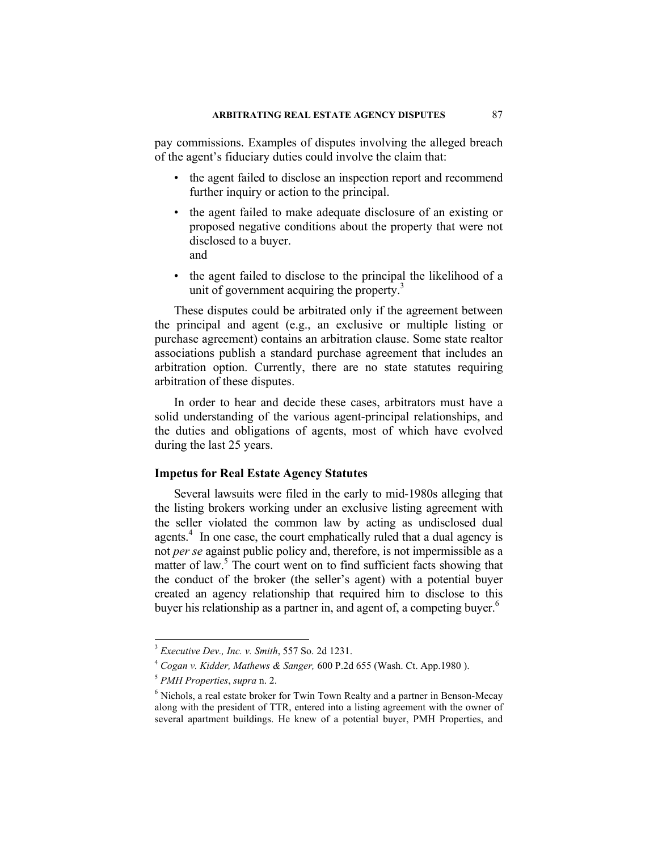pay commissions. Examples of disputes involving the alleged breach of the agent's fiduciary duties could involve the claim that:

- the agent failed to disclose an inspection report and recommend further inquiry or action to the principal.
- the agent failed to make adequate disclosure of an existing or proposed negative conditions about the property that were not disclosed to a buyer. and
	-
- the agent failed to disclose to the principal the likelihood of a unit of government acquiring the property. $3$

These disputes could be arbitrated only if the agreement between the principal and agent (e.g., an exclusive or multiple listing or purchase agreement) contains an arbitration clause. Some state realtor associations publish a standard purchase agreement that includes an arbitration option. Currently, there are no state statutes requiring arbitration of these disputes.

In order to hear and decide these cases, arbitrators must have a solid understanding of the various agent-principal relationships, and the duties and obligations of agents, most of which have evolved during the last 25 years.

## **Impetus for Real Estate Agency Statutes**

Several lawsuits were filed in the early to mid-1980s alleging that the listing brokers working under an exclusive listing agreement with the seller violated the common law by acting as undisclosed dual agents.<sup>4</sup> In one case, the court emphatically ruled that a dual agency is not *per se* against public policy and, therefore, is not impermissible as a matter of law.<sup>5</sup> The court went on to find sufficient facts showing that the conduct of the broker (the seller's agent) with a potential buyer created an agency relationship that required him to disclose to this buyer his relationship as a partner in, and agent of, a competing buyer.<sup>6</sup>

 $3$  Executive Dev., Inc. v. Smith, 557 So. 2d 1231.

<sup>&</sup>lt;sup>4</sup> Cogan v. Kidder, Mathews & Sanger, 600 P.2d 655 (Wash. Ct. App.1980 ). <sup>5</sup> *PMH Properties*, *supra* n. 2.

 $6$  Nichols, a real estate broker for Twin Town Realty and a partner in Benson-Mecay along with the president of TTR, entered into a listing agreement with the owner of several apartment buildings. He knew of a potential buyer, PMH Properties, and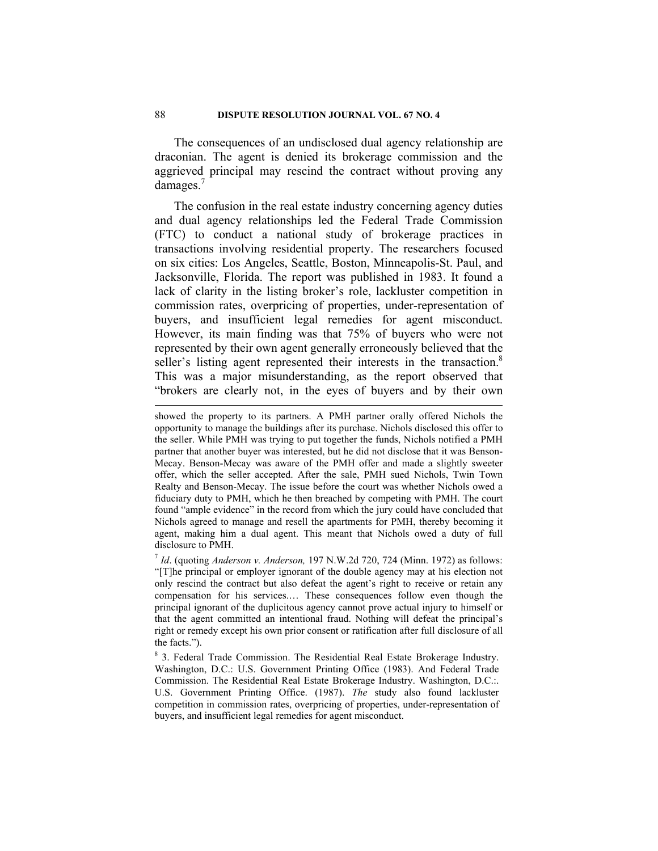The consequences of an undisclosed dual agency relationship are draconian. The agent is denied its brokerage commission and the aggrieved principal may rescind the contract without proving any damages.<sup>7</sup>

The confusion in the real estate industry concerning agency duties and dual agency relationships led the Federal Trade Commission (FTC) to conduct a national study of brokerage practices in transactions involving residential property. The researchers focused on six cities: Los Angeles, Seattle, Boston, Minneapolis-St. Paul, and Jacksonville, Florida. The report was published in 1983. It found a lack of clarity in the listing broker's role, lackluster competition in commission rates, overpricing of properties, under-representation of buyers, and insufficient legal remedies for agent misconduct. However, its main finding was that 75% of buyers who were not represented by their own agent generally erroneously believed that the seller's listing agent represented their interests in the transaction.<sup>8</sup> This was a major misunderstanding, as the report observed that "brokers are clearly not, in the eyes of buyers and by their own

showed the property to its partners. A PMH partner orally offered Nichols the opportunity to manage the buildings after its purchase. Nichols disclosed this offer to the seller. While PMH was trying to put together the funds, Nichols notified a PMH partner that another buyer was interested, but he did not disclose that it was Benson-Mecay. Benson-Mecay was aware of the PMH offer and made a slightly sweeter offer, which the seller accepted. After the sale, PMH sued Nichols, Twin Town Realty and Benson-Mecay. The issue before the court was whether Nichols owed a fiduciary duty to PMH, which he then breached by competing with PMH. The court found "ample evidence" in the record from which the jury could have concluded that Nichols agreed to manage and resell the apartments for PMH, thereby becoming it agent, making him a dual agent. This meant that Nichols owed a duty of full disclosure to PMH.

<sup>7</sup> *Id*. (quoting *Anderson v. Anderson,* 197 N.W.2d 720, 724 (Minn. 1972) as follows: "[T]he principal or employer ignorant of the double agency may at his election not only rescind the contract but also defeat the agent's right to receive or retain any compensation for his services.… These consequences follow even though the principal ignorant of the duplicitous agency cannot prove actual injury to himself or that the agent committed an intentional fraud. Nothing will defeat the principal's right or remedy except his own prior consent or ratification after full disclosure of all the facts.").

<sup>&</sup>lt;sup>8</sup> 3. Federal Trade Commission. The Residential Real Estate Brokerage Industry. Washington, D.C.: U.S. Government Printing Office (1983). And Federal Trade Commission. The Residential Real Estate Brokerage Industry. Washington, D.C.:. U.S. Government Printing Office. (1987). *The* study also found lackluster competition in commission rates, overpricing of properties, under-representation of buyers, and insufficient legal remedies for agent misconduct.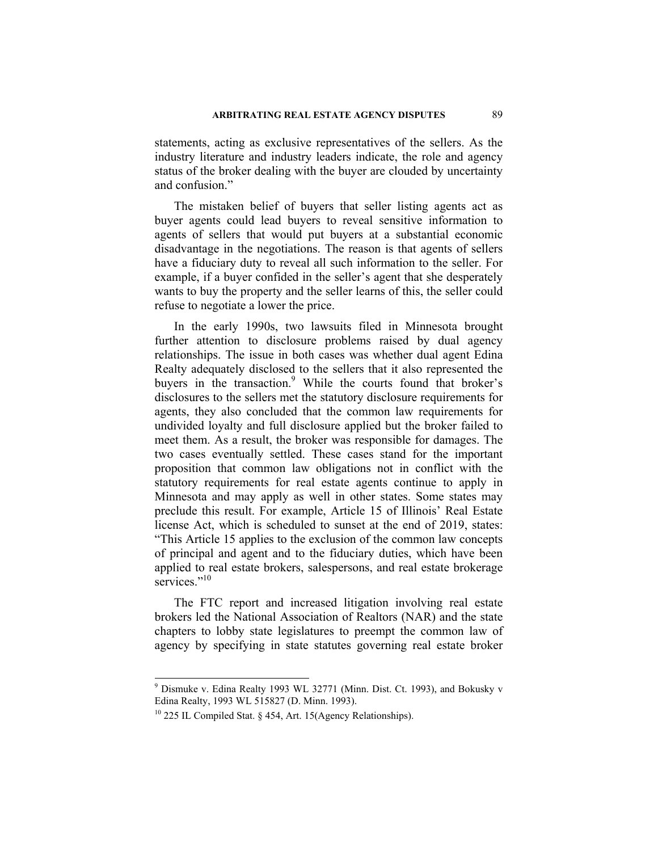statements, acting as exclusive representatives of the sellers. As the industry literature and industry leaders indicate, the role and agency status of the broker dealing with the buyer are clouded by uncertainty and confusion."

The mistaken belief of buyers that seller listing agents act as buyer agents could lead buyers to reveal sensitive information to agents of sellers that would put buyers at a substantial economic disadvantage in the negotiations. The reason is that agents of sellers have a fiduciary duty to reveal all such information to the seller. For example, if a buyer confided in the seller's agent that she desperately wants to buy the property and the seller learns of this, the seller could refuse to negotiate a lower the price.

In the early 1990s, two lawsuits filed in Minnesota brought further attention to disclosure problems raised by dual agency relationships. The issue in both cases was whether dual agent Edina Realty adequately disclosed to the sellers that it also represented the buvers in the transaction.<sup>9</sup> While the courts found that broker's disclosures to the sellers met the statutory disclosure requirements for agents, they also concluded that the common law requirements for undivided loyalty and full disclosure applied but the broker failed to meet them. As a result, the broker was responsible for damages. The two cases eventually settled. These cases stand for the important proposition that common law obligations not in conflict with the statutory requirements for real estate agents continue to apply in Minnesota and may apply as well in other states. Some states may preclude this result. For example, Article 15 of Illinois' Real Estate license Act, which is scheduled to sunset at the end of 2019, states: "This Article 15 applies to the exclusion of the common law concepts of principal and agent and to the fiduciary duties, which have been applied to real estate brokers, salespersons, and real estate brokerage services<sup>"10</sup>

The FTC report and increased litigation involving real estate brokers led the National Association of Realtors (NAR) and the state chapters to lobby state legislatures to preempt the common law of agency by specifying in state statutes governing real estate broker

<sup>&</sup>lt;sup>9</sup> Dismuke v. Edina Realty 1993 WL 32771 (Minn. Dist. Ct. 1993), and Bokusky v Edina Realty, 1993 WL 515827 (D. Minn. 1993).

 $10$  225 IL Compiled Stat. § 454, Art. 15(Agency Relationships).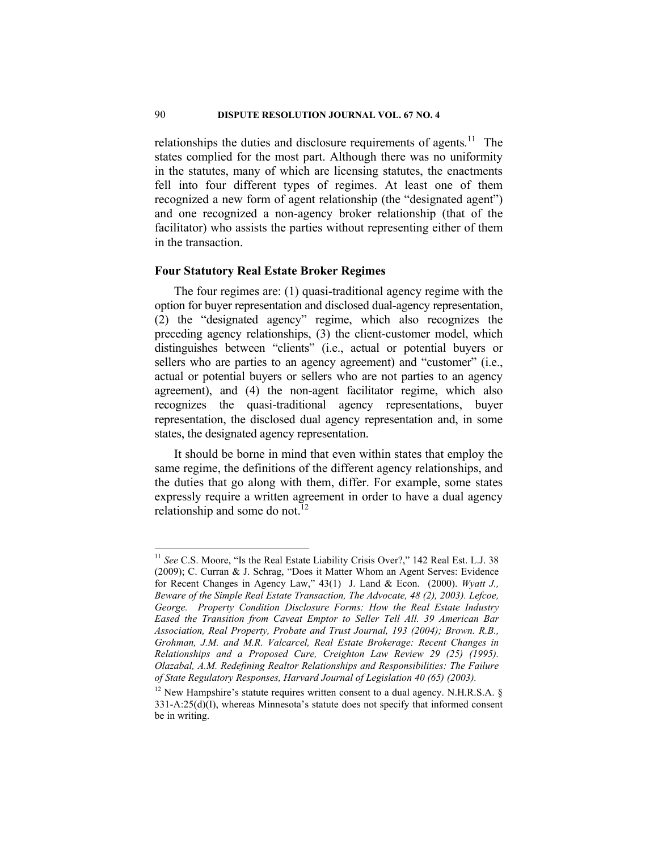relationships the duties and disclosure requirements of agents.<sup>11</sup> The states complied for the most part. Although there was no uniformity in the statutes, many of which are licensing statutes, the enactments fell into four different types of regimes. At least one of them recognized a new form of agent relationship (the "designated agent") and one recognized a non-agency broker relationship (that of the facilitator) who assists the parties without representing either of them in the transaction.

# **Four Statutory Real Estate Broker Regimes**

 $\overline{\phantom{a}}$ 

The four regimes are: (1) quasi-traditional agency regime with the option for buyer representation and disclosed dual-agency representation, (2) the "designated agency" regime, which also recognizes the preceding agency relationships, (3) the client-customer model, which distinguishes between "clients" (i.e., actual or potential buyers or sellers who are parties to an agency agreement) and "customer" (i.e., actual or potential buyers or sellers who are not parties to an agency agreement), and (4) the non-agent facilitator regime, which also recognizes the quasi-traditional agency representations, buyer representation, the disclosed dual agency representation and, in some states, the designated agency representation.

It should be borne in mind that even within states that employ the same regime, the definitions of the different agency relationships, and the duties that go along with them, differ. For example, some states expressly require a written agreement in order to have a dual agency relationship and some do not. $12$ 

<sup>&</sup>lt;sup>11</sup> See C.S. Moore, "Is the Real Estate Liability Crisis Over?," 142 Real Est. L.J. 38 (2009); C. Curran & J. Schrag, "Does it Matter Whom an Agent Serves: Evidence for Recent Changes in Agency Law," 43(1) J. Land & Econ. (2000). *Wyatt J., Beware of the Simple Real Estate Transaction, The Advocate, 48 (2), 2003). Lefcoe, George. Property Condition Disclosure Forms: How the Real Estate Industry Eased the Transition from Caveat Emptor to Seller Tell All. 39 American Bar Association, Real Property, Probate and Trust Journal, 193 (2004); Brown. R.B., Grohman, J.M. and M.R. Valcarcel, Real Estate Brokerage: Recent Changes in Relationships and a Proposed Cure, Creighton Law Review 29 (25) (1995). Olazabal, A.M. Redefining Realtor Relationships and Responsibilities: The Failure of State Regulatory Responses, Harvard Journal of Legislation 40 (65) (2003).*

<sup>&</sup>lt;sup>12</sup> New Hampshire's statute requires written consent to a dual agency. N.H.R.S.A.  $\S$ 331-A:25(d)(I), whereas Minnesota's statute does not specify that informed consent be in writing.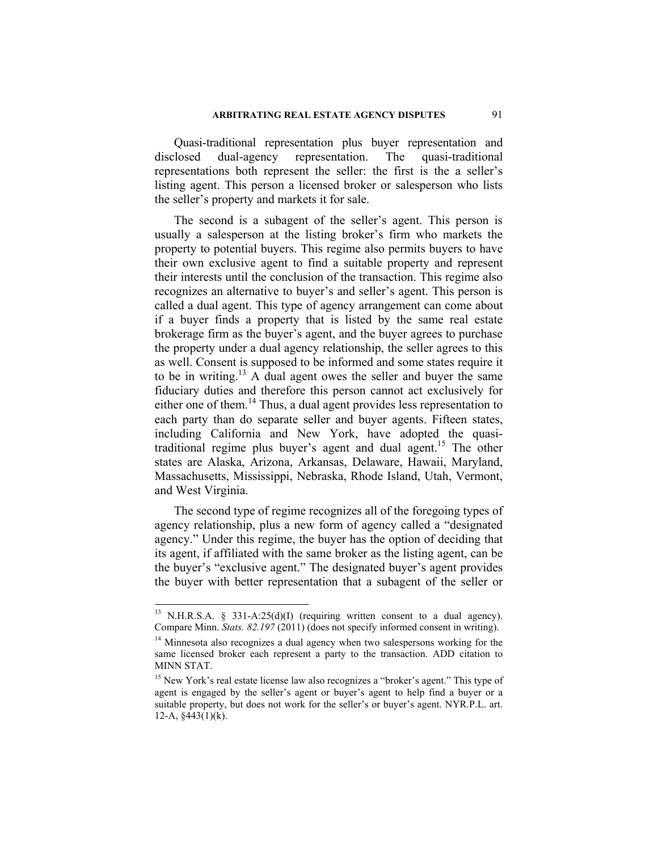Quasi-traditional representation plus buyer representation and disclosed dual-agency representation. The quasi-traditional representations both represent the seller: the first is the a seller's listing agent. This person a licensed broker or salesperson who lists the seller's property and markets it for sale.

The second is a subagent of the seller's agent. This person is usually a salesperson at the listing broker's firm who markets the property to potential buyers. This regime also permits buyers to have their own exclusive agent to find a suitable property and represent their interests until the conclusion of the transaction. This regime also recognizes an alternative to buyer's and seller's agent. This person is called a dual agent. This type of agency arrangement can come about if a buyer finds a property that is listed by the same real estate brokerage firm as the buyer's agent, and the buyer agrees to purchase the property under a dual agency relationship, the seller agrees to this as well. Consent is supposed to be informed and some states require it to be in writing. $13$  A dual agent owes the seller and buyer the same fiduciary duties and therefore this person cannot act exclusively for either one of them.<sup>14</sup> Thus, a dual agent provides less representation to each party than do separate seller and buyer agents. Fifteen states, including California and New York, have adopted the quasitraditional regime plus buyer's agent and dual agent.<sup>15</sup> The other states are Alaska, Arizona, Arkansas, Delaware, Hawaii, Maryland, Massachusetts, Mississippi, Nebraska, Rhode Island, Utah, Vermont, and West Virginia.

The second type of regime recognizes all of the foregoing types of agency relationship, plus a new form of agency called a "designated agency." Under this regime, the buyer has the option of deciding that its agent, if affiliated with the same broker as the listing agent, can be the buyer's "exclusive agent." The designated buyer's agent provides the buyer with better representation that a subagent of the seller or

<sup>&</sup>lt;sup>13</sup> N.H.R.S.A. § 331-A:25(d)(I) (requiring written consent to a dual agency). Compare Minn. *Stats. 82.197* (2011) (does not specify informed consent in writing).<br><sup>14</sup> Minnesota also recognizes a dual agency when two salespersons working for the

same licensed broker each represent a party to the transaction. ADD citation to MINN STAT.

<sup>&</sup>lt;sup>15</sup> New York's real estate license law also recognizes a "broker's agent." This type of agent is engaged by the seller's agent or buyer's agent to help find a buyer or a suitable property, but does not work for the seller's or buyer's agent. NYR.P.L. art. 12-A,  $§443(1)(k)$ .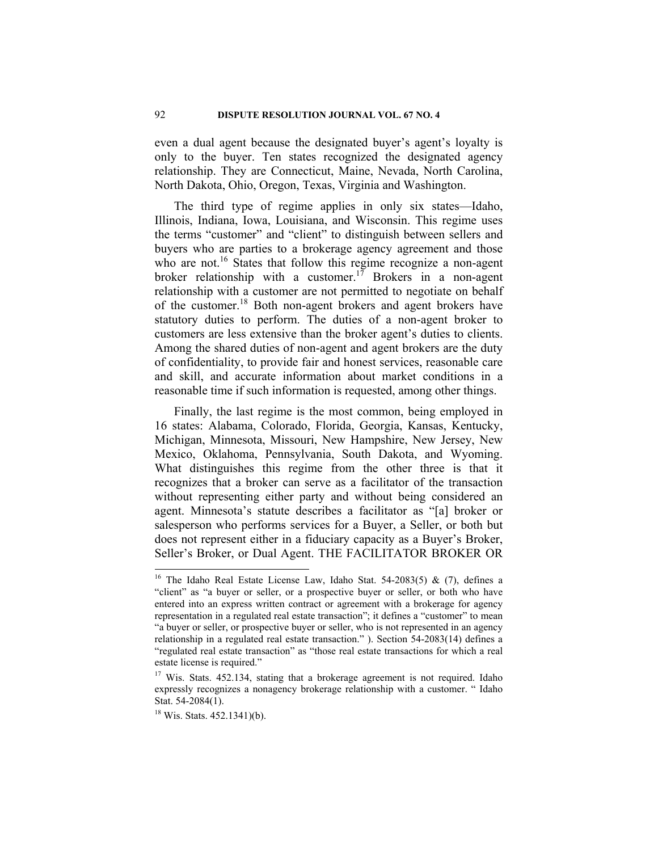even a dual agent because the designated buyer's agent's loyalty is only to the buyer. Ten states recognized the designated agency relationship. They are Connecticut, Maine, Nevada, North Carolina, North Dakota, Ohio, Oregon, Texas, Virginia and Washington.

The third type of regime applies in only six states—Idaho, Illinois, Indiana, Iowa, Louisiana, and Wisconsin. This regime uses the terms "customer" and "client" to distinguish between sellers and buyers who are parties to a brokerage agency agreement and those who are not.<sup>16</sup> States that follow this regime recognize a non-agent broker relationship with a customer.<sup>17</sup> Brokers in a non-agent relationship with a customer are not permitted to negotiate on behalf of the customer.18 Both non-agent brokers and agent brokers have statutory duties to perform. The duties of a non-agent broker to customers are less extensive than the broker agent's duties to clients. Among the shared duties of non-agent and agent brokers are the duty of confidentiality, to provide fair and honest services, reasonable care and skill, and accurate information about market conditions in a reasonable time if such information is requested, among other things.

Finally, the last regime is the most common, being employed in 16 states: Alabama, Colorado, Florida, Georgia, Kansas, Kentucky, Michigan, Minnesota, Missouri, New Hampshire, New Jersey, New Mexico, Oklahoma, Pennsylvania, South Dakota, and Wyoming. What distinguishes this regime from the other three is that it recognizes that a broker can serve as a facilitator of the transaction without representing either party and without being considered an agent. Minnesota's statute describes a facilitator as "[a] broker or salesperson who performs services for a Buyer, a Seller, or both but does not represent either in a fiduciary capacity as a Buyer's Broker, Seller's Broker, or Dual Agent. THE FACILITATOR BROKER OR

<sup>&</sup>lt;sup>16</sup> The Idaho Real Estate License Law, Idaho Stat. 54-2083(5) & (7), defines a "client" as "a buyer or seller, or a prospective buyer or seller, or both who have entered into an express written contract or agreement with a brokerage for agency representation in a regulated real estate transaction"; it defines a "customer" to mean "a buyer or seller, or prospective buyer or seller, who is not represented in an agency relationship in a regulated real estate transaction." ). Section 54-2083(14) defines a "regulated real estate transaction" as "those real estate transactions for which a real estate license is required."

<sup>&</sup>lt;sup>17</sup> Wis. Stats. 452.134, stating that a brokerage agreement is not required. Idaho expressly recognizes a nonagency brokerage relationship with a customer. " Idaho Stat. 54-2084(1).

 $18$  Wis. Stats. 452.1341)(b).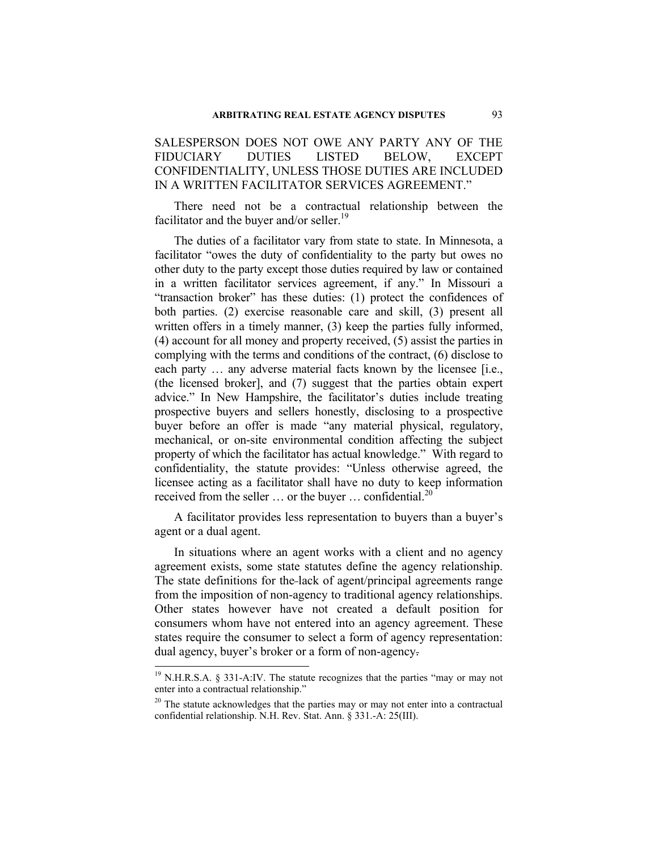SALESPERSON DOES NOT OWE ANY PARTY ANY OF THE FIDUCIARY DUTIES LISTED BELOW, EXCEPT CONFIDENTIALITY, UNLESS THOSE DUTIES ARE INCLUDED IN A WRITTEN FACILITATOR SERVICES AGREEMENT."

There need not be a contractual relationship between the facilitator and the buyer and/or seller.<sup>19</sup>

The duties of a facilitator vary from state to state. In Minnesota, a facilitator "owes the duty of confidentiality to the party but owes no other duty to the party except those duties required by law or contained in a written facilitator services agreement, if any." In Missouri a "transaction broker" has these duties: (1) protect the confidences of both parties. (2) exercise reasonable care and skill, (3) present all written offers in a timely manner, (3) keep the parties fully informed. (4) account for all money and property received, (5) assist the parties in complying with the terms and conditions of the contract, (6) disclose to each party ... any adverse material facts known by the licensee [i.e., (the licensed broker], and (7) suggest that the parties obtain expert advice." In New Hampshire, the facilitator's duties include treating prospective buyers and sellers honestly, disclosing to a prospective buyer before an offer is made "any material physical, regulatory, mechanical, or on-site environmental condition affecting the subject property of which the facilitator has actual knowledge." With regard to confidentiality, the statute provides: "Unless otherwise agreed, the licensee acting as a facilitator shall have no duty to keep information received from the seller  $\ldots$  or the buyer  $\ldots$  confidential.<sup>20</sup>

A facilitator provides less representation to buyers than a buyer's agent or a dual agent.

In situations where an agent works with a client and no agency agreement exists, some state statutes define the agency relationship. The state definitions for the lack of agent/principal agreements range from the imposition of non-agency to traditional agency relationships. Other states however have not created a default position for consumers whom have not entered into an agency agreement. These states require the consumer to select a form of agency representation: dual agency, buyer's broker or a form of non-agency.

 $19$  N.H.R.S.A. § 331-A:IV. The statute recognizes that the parties "may or may not enter into a contractual relationship."

 $20$  The statute acknowledges that the parties may or may not enter into a contractual confidential relationship. N.H. Rev. Stat. Ann. § 331.-A: 25(III).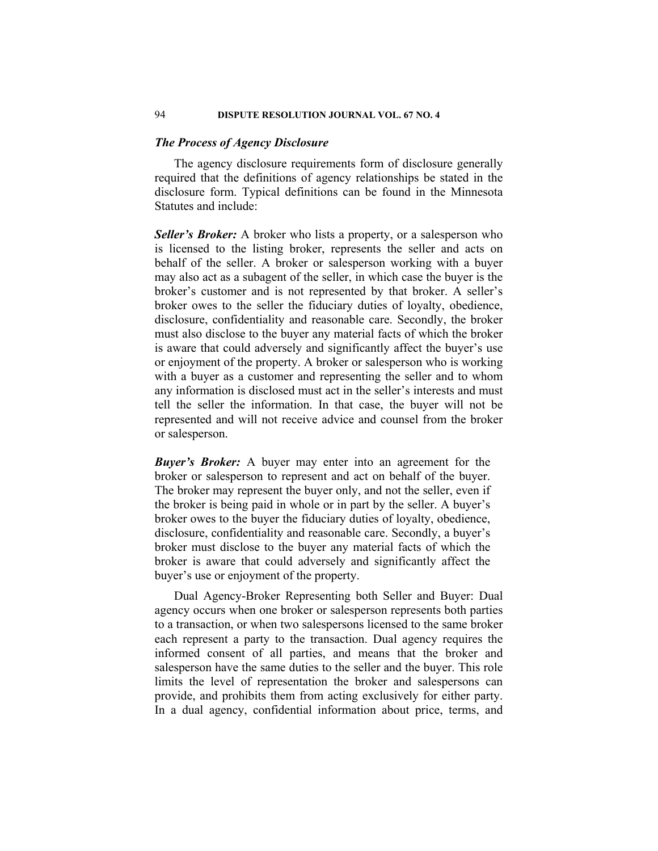# *The Process of Agency Disclosure*

The agency disclosure requirements form of disclosure generally required that the definitions of agency relationships be stated in the disclosure form. Typical definitions can be found in the Minnesota Statutes and include:

*Seller's Broker:* A broker who lists a property, or a salesperson who is licensed to the listing broker, represents the seller and acts on behalf of the seller. A broker or salesperson working with a buyer may also act as a subagent of the seller, in which case the buyer is the broker's customer and is not represented by that broker. A seller's broker owes to the seller the fiduciary duties of loyalty, obedience, disclosure, confidentiality and reasonable care. Secondly, the broker must also disclose to the buyer any material facts of which the broker is aware that could adversely and significantly affect the buyer's use or enjoyment of the property. A broker or salesperson who is working with a buyer as a customer and representing the seller and to whom any information is disclosed must act in the seller's interests and must tell the seller the information. In that case, the buyer will not be represented and will not receive advice and counsel from the broker or salesperson.

*Buyer's Broker:* A buyer may enter into an agreement for the broker or salesperson to represent and act on behalf of the buyer. The broker may represent the buyer only, and not the seller, even if the broker is being paid in whole or in part by the seller. A buyer's broker owes to the buyer the fiduciary duties of loyalty, obedience, disclosure, confidentiality and reasonable care. Secondly, a buyer's broker must disclose to the buyer any material facts of which the broker is aware that could adversely and significantly affect the buyer's use or enjoyment of the property.

Dual Agency-Broker Representing both Seller and Buyer: Dual agency occurs when one broker or salesperson represents both parties to a transaction, or when two salespersons licensed to the same broker each represent a party to the transaction. Dual agency requires the informed consent of all parties, and means that the broker and salesperson have the same duties to the seller and the buyer. This role limits the level of representation the broker and salespersons can provide, and prohibits them from acting exclusively for either party. In a dual agency, confidential information about price, terms, and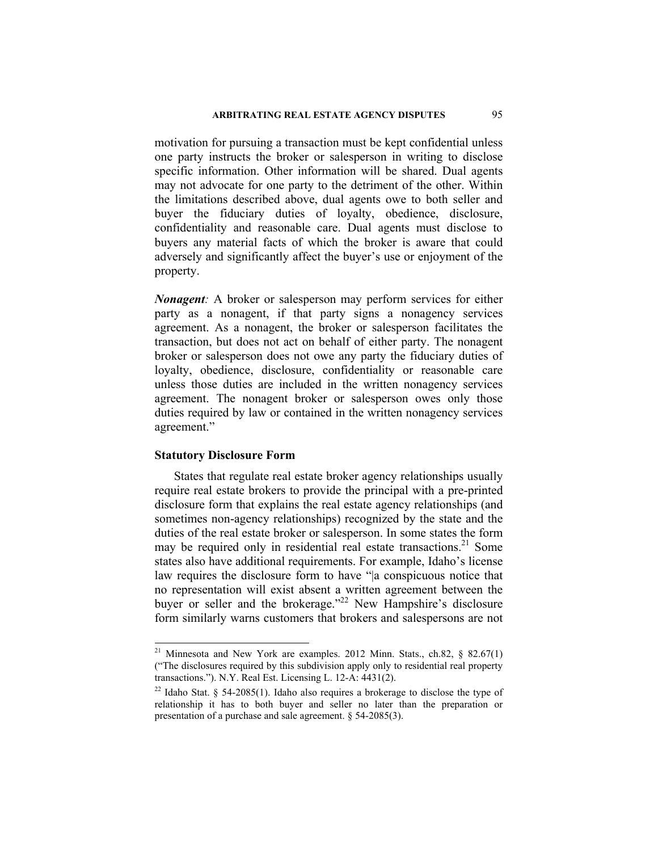## **ARBITRATING REAL ESTATE AGENCY DISPUTES** 95

motivation for pursuing a transaction must be kept confidential unless one party instructs the broker or salesperson in writing to disclose specific information. Other information will be shared. Dual agents may not advocate for one party to the detriment of the other. Within the limitations described above, dual agents owe to both seller and buyer the fiduciary duties of loyalty, obedience, disclosure, confidentiality and reasonable care. Dual agents must disclose to buyers any material facts of which the broker is aware that could adversely and significantly affect the buyer's use or enjoyment of the property.

*Nonagent:* A broker or salesperson may perform services for either party as a nonagent, if that party signs a nonagency services agreement. As a nonagent, the broker or salesperson facilitates the transaction, but does not act on behalf of either party. The nonagent broker or salesperson does not owe any party the fiduciary duties of loyalty, obedience, disclosure, confidentiality or reasonable care unless those duties are included in the written nonagency services agreement. The nonagent broker or salesperson owes only those duties required by law or contained in the written nonagency services agreement."

# **Statutory Disclosure Form**

 $\overline{\phantom{a}}$ 

States that regulate real estate broker agency relationships usually require real estate brokers to provide the principal with a pre-printed disclosure form that explains the real estate agency relationships (and sometimes non-agency relationships) recognized by the state and the duties of the real estate broker or salesperson. In some states the form may be required only in residential real estate transactions.<sup>21</sup> Some states also have additional requirements. For example, Idaho's license law requires the disclosure form to have "|a conspicuous notice that no representation will exist absent a written agreement between the buyer or seller and the brokerage."<sup>22</sup> New Hampshire's disclosure form similarly warns customers that brokers and salespersons are not

Minnesota and New York are examples. 2012 Minn. Stats., ch.82, § 82.67(1) ("The disclosures required by this subdivision apply only to residential real property transactions."). N.Y. Real Est. Licensing L. 12-A:  $4431(2)$ .<br><sup>22</sup> Idaho Stat. § 54-2085(1). Idaho also requires a brokerage to disclose the type of

relationship it has to both buyer and seller no later than the preparation or presentation of a purchase and sale agreement. § 54-2085(3).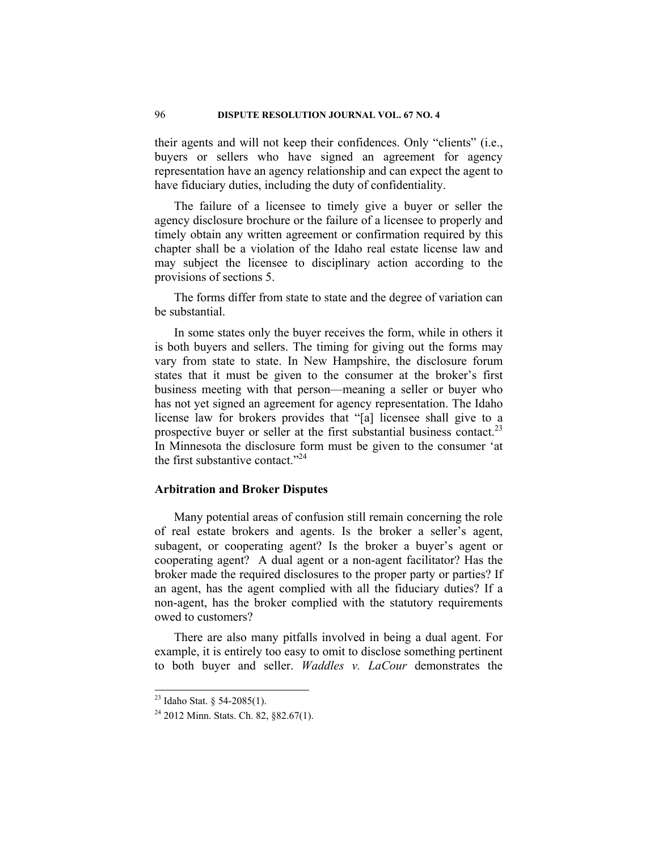their agents and will not keep their confidences. Only "clients" (i.e., buyers or sellers who have signed an agreement for agency representation have an agency relationship and can expect the agent to have fiduciary duties, including the duty of confidentiality.

The failure of a licensee to timely give a buyer or seller the agency disclosure brochure or the failure of a licensee to properly and timely obtain any written agreement or confirmation required by this chapter shall be a violation of the Idaho real estate license law and may subject the licensee to disciplinary action according to the provisions of sections 5.

The forms differ from state to state and the degree of variation can be substantial.

In some states only the buyer receives the form, while in others it is both buyers and sellers. The timing for giving out the forms may vary from state to state. In New Hampshire, the disclosure forum states that it must be given to the consumer at the broker's first business meeting with that person—meaning a seller or buyer who has not yet signed an agreement for agency representation. The Idaho license law for brokers provides that "[a] licensee shall give to a prospective buyer or seller at the first substantial business contact.<sup>23</sup> In Minnesota the disclosure form must be given to the consumer 'at the first substantive contact."<sup>24</sup>

## **Arbitration and Broker Disputes**

Many potential areas of confusion still remain concerning the role of real estate brokers and agents. Is the broker a seller's agent, subagent, or cooperating agent? Is the broker a buyer's agent or cooperating agent? A dual agent or a non-agent facilitator? Has the broker made the required disclosures to the proper party or parties? If an agent, has the agent complied with all the fiduciary duties? If a non-agent, has the broker complied with the statutory requirements owed to customers?

There are also many pitfalls involved in being a dual agent. For example, it is entirely too easy to omit to disclose something pertinent to both buyer and seller. *Waddles v. LaCour* demonstrates the

<sup>&</sup>lt;sup>23</sup> Idaho Stat. § 54-2085(1).

 $24$  2012 Minn. Stats. Ch. 82, §82.67(1).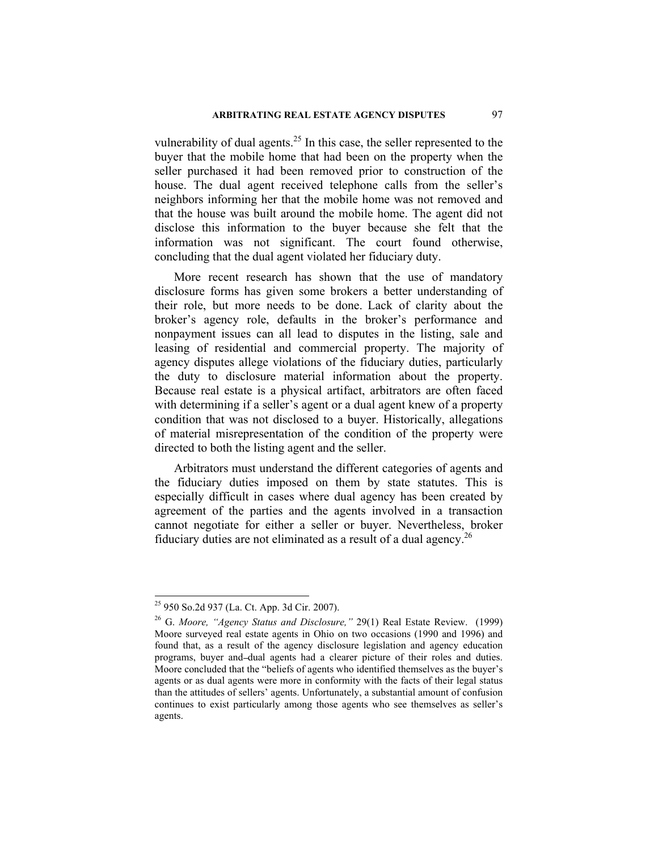vulnerability of dual agents.<sup>25</sup> In this case, the seller represented to the buyer that the mobile home that had been on the property when the seller purchased it had been removed prior to construction of the house. The dual agent received telephone calls from the seller's neighbors informing her that the mobile home was not removed and that the house was built around the mobile home. The agent did not disclose this information to the buyer because she felt that the information was not significant. The court found otherwise, concluding that the dual agent violated her fiduciary duty.

More recent research has shown that the use of mandatory disclosure forms has given some brokers a better understanding of their role, but more needs to be done. Lack of clarity about the broker's agency role, defaults in the broker's performance and nonpayment issues can all lead to disputes in the listing, sale and leasing of residential and commercial property. The majority of agency disputes allege violations of the fiduciary duties, particularly the duty to disclosure material information about the property. Because real estate is a physical artifact, arbitrators are often faced with determining if a seller's agent or a dual agent knew of a property condition that was not disclosed to a buyer. Historically, allegations of material misrepresentation of the condition of the property were directed to both the listing agent and the seller.

Arbitrators must understand the different categories of agents and the fiduciary duties imposed on them by state statutes. This is especially difficult in cases where dual agency has been created by agreement of the parties and the agents involved in a transaction cannot negotiate for either a seller or buyer. Nevertheless, broker fiduciary duties are not eliminated as a result of a dual agency.<sup>26</sup>

<sup>25 950</sup> So.2d 937 (La. Ct. App. 3d Cir. 2007).

<sup>26</sup> G. *Moore, "Agency Status and Disclosure,"* 29(1) Real Estate Review. (1999) Moore surveyed real estate agents in Ohio on two occasions (1990 and 1996) and found that, as a result of the agency disclosure legislation and agency education programs, buyer and dual agents had a clearer picture of their roles and duties. Moore concluded that the "beliefs of agents who identified themselves as the buyer's agents or as dual agents were more in conformity with the facts of their legal status than the attitudes of sellers' agents. Unfortunately, a substantial amount of confusion continues to exist particularly among those agents who see themselves as seller's agents.